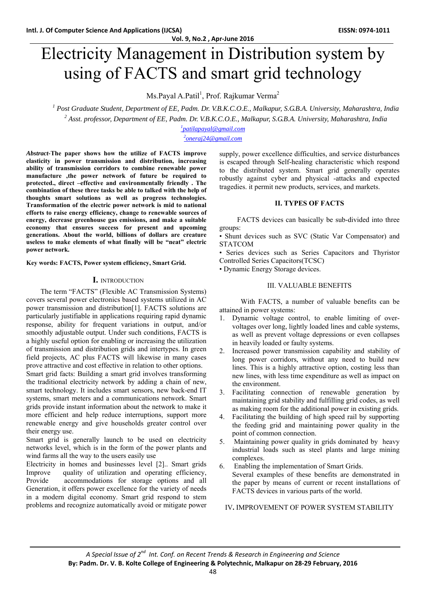**Vol. 9, No.2 , Apr‐June 2016**

# Electricity Management in Distribution system by using of FACTS and smart grid technology

Ms.Payal A.Patil<sup>1</sup>, Prof. Rajkumar Verma<sup>2</sup>

<sup>1</sup> Post Graduate Student, Department of EE, Padm. Dr. V.B.K.C.O.E., Malkapur, S.G.B.A. University, Maharashtra, India <sup>2</sup> Acet professor Department of EE, Padm. Dr. V.B.K.C.O.E., Malkapur, S.G.B.A. University, Maharashtra <sup>2</sup> Asst. professor, Department of EE, Padm. Dr. V.B.K.C.O.E., Malkapur, S.G.B.A. University, Maharashtra, India

> *patilapayal@gmail.com 2 oneraj24@gmail.com*

*Abstract-***The paper shows how the utilize of FACTS improve elasticity in power transmission and distribution, increasing ability of transmission corridors to combine renewable power manufacture ,the power network of future be required to protected., direct –effective and environmentally friendly . The combination of these three tasks be able to talked with the help of thoughts smart solutions as well as progress technologies. Transformation of the electric power network is mid to national efforts to raise energy efficiency, change to renewable sources of energy, decrease greenhouse gas emissions, and make a suitable economy that ensures success for present and upcoming generations. About the world, billions of dollars are creature useless to make elements of what finally will be "neat" electric power network.**

**Key words: FACTS, Power system efficiency, Smart Grid.** 

#### **I.** INTRODUCTION

 The term "FACTS" (Flexible AC Transmission Systems) covers several power electronics based systems utilized in AC power transmission and distribution[1]. FACTS solutions are particularly justifiable in applications requiring rapid dynamic response, ability for frequent variations in output, and/or smoothly adjustable output. Under such conditions, FACTS is a highly useful option for enabling or increasing the utilization of transmission and distribution grids and intertypes. In green field projects, AC plus FACTS will likewise in many cases prove attractive and cost effective in relation to other options.

Smart grid facts: Building a smart grid involves transforming the traditional electricity network by adding a chain of new, smart technology. It includes smart sensors, new back-end IT systems, smart meters and a communications network. Smart grids provide instant information about the network to make it more efficient and help reduce interruptions, support more renewable energy and give households greater control over their energy use.

Smart grid is generally launch to be used on electricity networks level, which is in the form of the power plants and wind farms all the way to the users easily use

Electricity in homes and businesses level [2].. Smart grids Improve quality of utilization and operating efficiency, Provide accommodations for storage options and all Generation, it offers power excellence for the variety of needs in a modern digital economy. Smart grid respond to stem problems and recognize automatically avoid or mitigate power supply, power excellence difficulties, and service disturbances is escaped through Self-healing characteristic which respond to the distributed system. Smart grid generally operates robustly against cyber and physical -attacks and expected tragedies. it permit new products, services, and markets.

### **II. TYPES OF FACTS**

 FACTS devices can basically be sub-divided into three groups:

• Shunt devices such as SVC (Static Var Compensator) and STATCOM

• Series devices such as Series Capacitors and Thyristor Controlled Series Capacitors(TCSC)

• Dynamic Energy Storage devices.

#### III. VALUABLE BENEFITS

With FACTS, a number of valuable benefits can be attained in power systems:

- 1. Dynamic voltage control, to enable limiting of overvoltages over long, lightly loaded lines and cable systems, as well as prevent voltage depressions or even collapses in heavily loaded or faulty systems.
- 2. Increased power transmission capability and stability of long power corridors, without any need to build new lines. This is a highly attractive option, costing less than new lines, with less time expenditure as well as impact on the environment.
- 3. Facilitating connection of renewable generation by maintaining grid stability and fulfilling grid codes, as well as making room for the additional power in existing grids.
- 4. Facilitating the building of high speed rail by supporting the feeding grid and maintaining power quality in the point of common connection.
- 5. Maintaining power quality in grids dominated by heavy industrial loads such as steel plants and large mining complexes.
- 6. Enabling the implementation of Smart Grids. Several examples of these benefits are demonstrated in the paper by means of current or recent installations of FACTS devices in various parts of the world.

IV**.** IMPROVEMENT OF POWER SYSTEM STABILITY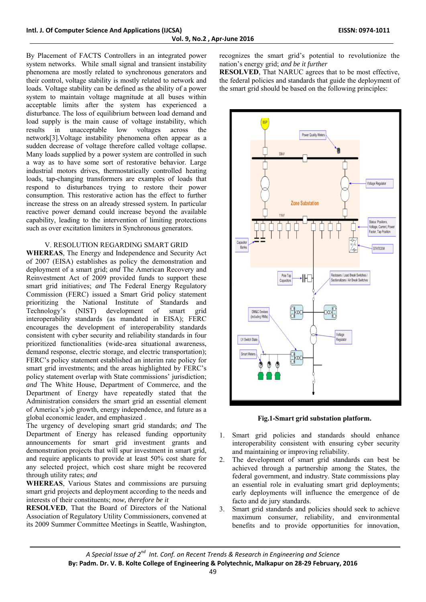By Placement of FACTS Controllers in an integrated power system networks. While small signal and transient instability phenomena are mostly related to synchronous generators and their control, voltage stability is mostly related to network and loads. Voltage stability can be defined as the ability of a power system to maintain voltage magnitude at all buses within acceptable limits after the system has experienced a disturbance. The loss of equilibrium between load demand and load supply is the main cause of voltage instability, which results in unacceptable low voltages across the network[3].Voltage instability phenomena often appear as a sudden decrease of voltage therefore called voltage collapse. Many loads supplied by a power system are controlled in such a way as to have some sort of restorative behavior. Large industrial motors drives, thermostatically controlled heating loads, tap-changing transformers are examples of loads that respond to disturbances trying to restore their power consumption. This restorative action has the effect to further increase the stress on an already stressed system. In particular reactive power demand could increase beyond the available capability, leading to the intervention of limiting protections such as over excitation limiters in Synchronous generators.

#### V. RESOLUTION REGARDING SMART GRID

**WHEREAS**, The Energy and Independence and Security Act of 2007 (EISA) establishes as policy the demonstration and deployment of a smart grid; *and* The American Recovery and Reinvestment Act of 2009 provided funds to support these smart grid initiatives; *and* The Federal Energy Regulatory Commission (FERC) issued a Smart Grid policy statement prioritizing the National Institute of Standards and Technology's (NIST) development of smart grid interoperability standards (as mandated in EISA); FERC encourages the development of interoperability standards consistent with cyber security and reliability standards in four prioritized functionalities (wide-area situational awareness, demand response, electric storage, and electric transportation); FERC's policy statement established an interim rate policy for smart grid investments; and the areas highlighted by FERC's policy statement overlap with State commissions' jurisdiction; *and* The White House, Department of Commerce, and the Department of Energy have repeatedly stated that the Administration considers the smart grid an essential element of America's job growth, energy independence, and future as a global economic leader, and emphasized .

The urgency of developing smart grid standards; *and* The Department of Energy has released funding opportunity announcements for smart grid investment grants and demonstration projects that will spur investment in smart grid, and require applicants to provide at least 50% cost share for any selected project, which cost share might be recovered through utility rates; *and*

**WHEREAS**, Various States and commissions are pursuing smart grid projects and deployment according to the needs and interests of their constituents; *now, therefore be it*

**RESOLVED**, That the Board of Directors of the National Association of Regulatory Utility Commissioners, convened at its 2009 Summer Committee Meetings in Seattle, Washington,

recognizes the smart grid's potential to revolutionize the nation's energy grid; *and be it further*

**RESOLVED**, That NARUC agrees that to be most effective, the federal policies and standards that guide the deployment of the smart grid should be based on the following principles:





- 1. Smart grid policies and standards should enhance interoperability consistent with ensuring cyber security and maintaining or improving reliability.
- 2. The development of smart grid standards can best be achieved through a partnership among the States, the federal government, and industry. State commissions play an essential role in evaluating smart grid deployments; early deployments will influence the emergence of de facto and de jury standards.
- 3. Smart grid standards and policies should seek to achieve maximum consumer, reliability, and environmental benefits and to provide opportunities for innovation,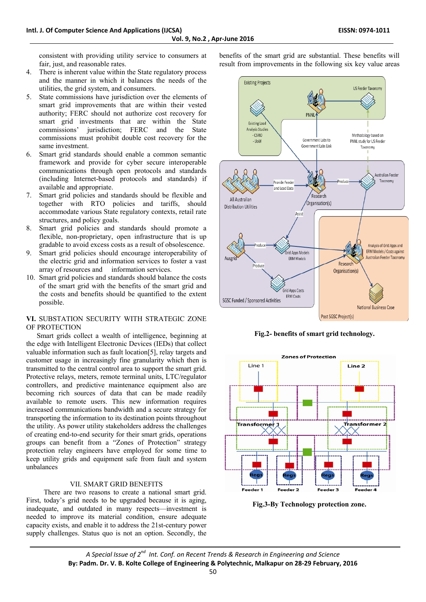consistent with providing utility service to consumers at fair, just, and reasonable rates.

- 4. There is inherent value within the State regulatory process and the manner in which it balances the needs of the utilities, the grid system, and consumers.
- 5. State commissions have jurisdiction over the elements of smart grid improvements that are within their vested authority; FERC should not authorize cost recovery for smart grid investments that are within the State commissions' jurisdiction; FERC and the State commissions must prohibit double cost recovery for the same investment.
- 6. Smart grid standards should enable a common semantic framework and provide for cyber secure interoperable communications through open protocols and standards (including Internet-based protocols and standards) if available and appropriate.
- 7. Smart grid policies and standards should be flexible and together with RTO policies and tariffs, should accommodate various State regulatory contexts, retail rate structures, and policy goals.
- 8. Smart grid policies and standards should promote a flexible, non-proprietary, open infrastructure that is up gradable to avoid excess costs as a result of obsolescence.
- 9. Smart grid policies should encourage interoperability of the electric grid and information services to foster a vast array of resources and information services.
- 10. Smart grid policies and standards should balance the costs of the smart grid with the benefits of the smart grid and the costs and benefits should be quantified to the extent possible.

## **VI.** SUBSTATION SECURITY WITH STRATEGIC ZONE OF PROTECTION

 Smart grids collect a wealth of intelligence, beginning at the edge with Intelligent Electronic Devices (IEDs) that collect valuable information such as fault location[5], relay targets and customer usage in increasingly fine granularity which then is transmitted to the central control area to support the smart grid. Protective relays, meters, remote terminal units, LTC/regulator controllers, and predictive maintenance equipment also are becoming rich sources of data that can be made readily available to remote users. This new information requires increased communications bandwidth and a secure strategy for transporting the information to its destination points throughout the utility. As power utility stakeholders address the challenges of creating end-to-end security for their smart grids, operations groups can benefit from a "Zones of Protection" strategy protection relay engineers have employed for some time to keep utility grids and equipment safe from fault and system unbalances

#### VII. SMART GRID BENEFITS

 There are two reasons to create a national smart grid. First, today's grid needs to be upgraded because it is aging, inadequate, and outdated in many respects—investment is needed to improve its material condition, ensure adequate capacity exists, and enable it to address the 21st-century power supply challenges. Status quo is not an option. Secondly, the benefits of the smart grid are substantial. These benefits will result from improvements in the following six key value areas



**Fig.2- benefits of smart grid technology.** 



**Fig.3-By Technology protection zone.**

*A Special Issue of 2nd Int. Conf. on Recent Trends & Research in Engineering and Science* **By: Padm. Dr. V. B. Kolte College of Engineering & Polytechnic, Malkapur on 28‐29 February, 2016**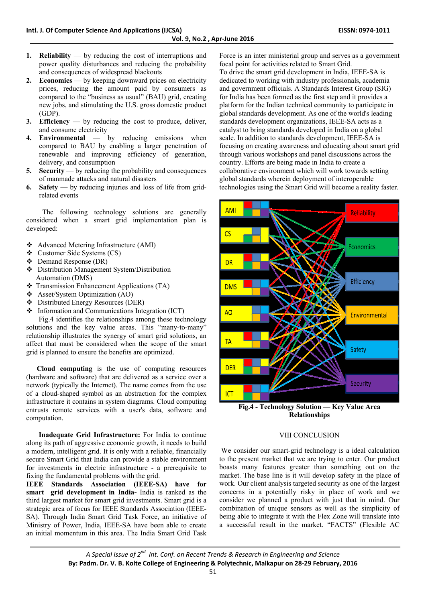- **1. Reliability** by reducing the cost of interruptions and power quality disturbances and reducing the probability and consequences of widespread blackouts
- **2. Economics** by keeping downward prices on electricity prices, reducing the amount paid by consumers as compared to the "business as usual" (BAU) grid, creating new jobs, and stimulating the U.S. gross domestic product (GDP).
- **3. Efficiency** by reducing the cost to produce, deliver, and consume electricity
- **4. Environmental** by reducing emissions when compared to BAU by enabling a larger penetration of renewable and improving efficiency of generation, delivery, and consumption
- **5. Security** by reducing the probability and consequences of manmade attacks and natural disasters
- **6. Safety** by reducing injuries and loss of life from gridrelated events

 The following technology solutions are generally considered when a smart grid implementation plan is developed:

- Advanced Metering Infrastructure (AMI)
- Customer Side Systems (CS)
- Demand Response (DR)
- Distribution Management System/Distribution Automation (DMS)
- Transmission Enhancement Applications (TA)
- Asset/System Optimization (AO)
- Distributed Energy Resources (DER)
- $\div$  Information and Communications Integration (ICT)

 Fig.4 identifies the relationships among these technology solutions and the key value areas. This "many-to-many" relationship illustrates the synergy of smart grid solutions, an affect that must be considered when the scope of the smart grid is planned to ensure the benefits are optimized.

 **Cloud computing** is the use of computing resources (hardware and software) that are delivered as a service over a network (typically the Internet). The name comes from the use of a cloud-shaped symbol as an abstraction for the complex infrastructure it contains in system diagrams. Cloud computing entrusts remote services with a user's data, software and computation.

 **Inadequate Grid Infrastructure:** For India to continue along its path of aggressive economic growth, it needs to build a modern, intelligent grid. It is only with a reliable, financially secure Smart Grid that India can provide a stable environment for investments in electric infrastructure - a prerequisite to fixing the fundamental problems with the grid.

**IEEE Standards Association (IEEE-SA) have for smart grid development in India-** India is ranked as the third largest market for smart grid investments. Smart grid is a strategic area of focus for IEEE Standards Association (IEEE-SA). Through India Smart Grid Task Force, an initiative of Ministry of Power, India, IEEE-SA have been able to create an initial momentum in this area. The India Smart Grid Task

Force is an inter ministerial group and serves as a government focal point for activities related to Smart Grid.

To drive the smart grid development in India, IEEE-SA is dedicated to working with industry professionals, academia and government officials. A Standards Interest Group (SIG) for India has been formed as the first step and it provides a platform for the Indian technical community to participate in global standards development. As one of the world's leading standards development organizations, IEEE-SA acts as a catalyst to bring standards developed in India on a global scale. In addition to standards development, IEEE-SA is focusing on creating awareness and educating about smart grid through various workshops and panel discussions across the country. Efforts are being made in India to create a collaborative environment which will work towards setting global standards wherein deployment of interoperable technologies using the Smart Grid will become a reality faster.



**Fig.4 - Technology Solution — Key Value Area Relationships** 

#### VIII CONCLUSION

We consider our smart-grid technology is a ideal calculation to the present market that we are trying to enter. Our product boasts many features greater than something out on the market. The base line is it will develop safety in the place of work. Our client analysis targeted security as one of the largest concerns in a potentially risky in place of work and we consider we planned a product with just that in mind. Our combination of unique sensors as well as the simplicity of being able to integrate it with the Flex Zone will translate into a successful result in the market. "FACTS" (Flexible AC

*A Special Issue of 2nd Int. Conf. on Recent Trends & Research in Engineering and Science* **By: Padm. Dr. V. B. Kolte College of Engineering & Polytechnic, Malkapur on 28‐29 February, 2016**